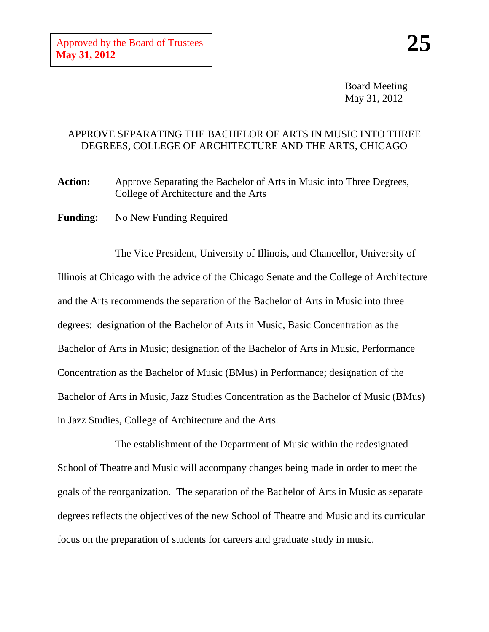Board Meeting May 31, 2012

## APPROVE SEPARATING THE BACHELOR OF ARTS IN MUSIC INTO THREE DEGREES, COLLEGE OF ARCHITECTURE AND THE ARTS, CHICAGO

Action: Approve Separating the Bachelor of Arts in Music into Three Degrees, College of Architecture and the Arts

**Funding:** No New Funding Required

The Vice President, University of Illinois, and Chancellor, University of Illinois at Chicago with the advice of the Chicago Senate and the College of Architecture and the Arts recommends the separation of the Bachelor of Arts in Music into three degrees: designation of the Bachelor of Arts in Music, Basic Concentration as the Bachelor of Arts in Music; designation of the Bachelor of Arts in Music, Performance Concentration as the Bachelor of Music (BMus) in Performance; designation of the Bachelor of Arts in Music, Jazz Studies Concentration as the Bachelor of Music (BMus) in Jazz Studies, College of Architecture and the Arts.

The establishment of the Department of Music within the redesignated School of Theatre and Music will accompany changes being made in order to meet the goals of the reorganization. The separation of the Bachelor of Arts in Music as separate degrees reflects the objectives of the new School of Theatre and Music and its curricular focus on the preparation of students for careers and graduate study in music.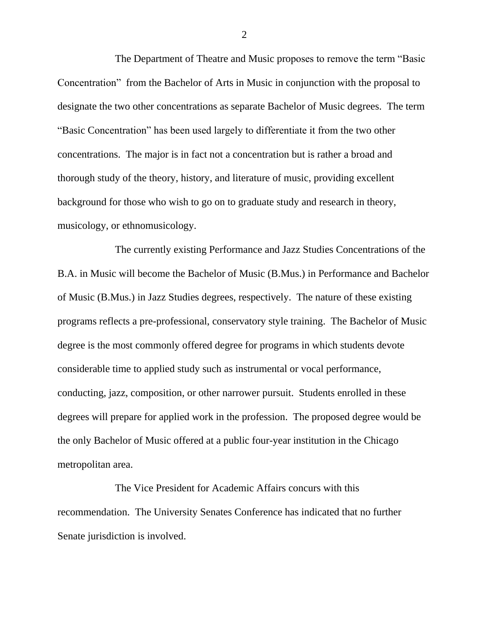The Department of Theatre and Music proposes to remove the term "Basic Concentration" from the Bachelor of Arts in Music in conjunction with the proposal to designate the two other concentrations as separate Bachelor of Music degrees. The term "Basic Concentration" has been used largely to differentiate it from the two other concentrations. The major is in fact not a concentration but is rather a broad and thorough study of the theory, history, and literature of music, providing excellent background for those who wish to go on to graduate study and research in theory, musicology, or ethnomusicology.

The currently existing Performance and Jazz Studies Concentrations of the B.A. in Music will become the Bachelor of Music (B.Mus.) in Performance and Bachelor of Music (B.Mus.) in Jazz Studies degrees, respectively. The nature of these existing programs reflects a pre-professional, conservatory style training. The Bachelor of Music degree is the most commonly offered degree for programs in which students devote considerable time to applied study such as instrumental or vocal performance, conducting, jazz, composition, or other narrower pursuit. Students enrolled in these degrees will prepare for applied work in the profession. The proposed degree would be the only Bachelor of Music offered at a public four-year institution in the Chicago metropolitan area.

The Vice President for Academic Affairs concurs with this recommendation. The University Senates Conference has indicated that no further Senate jurisdiction is involved.

2